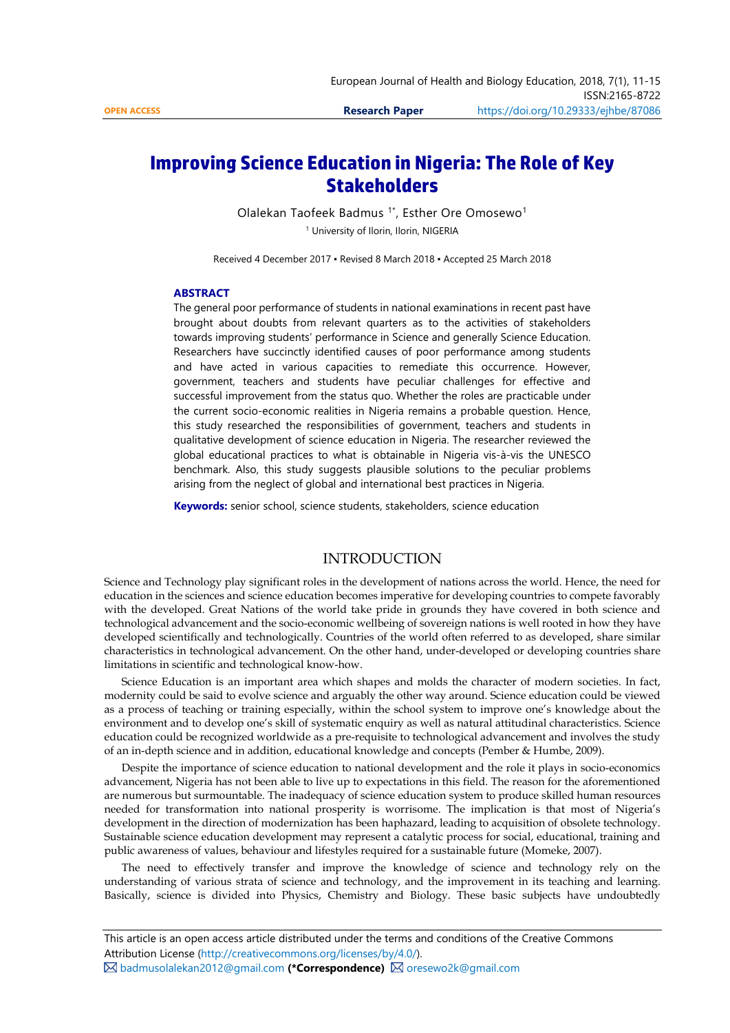# **Improving Science Education in Nigeria: The Role of Key Stakeholders**

Olalekan Taofeek Badmus  $1^*$ , Esther Ore Omosewo<sup>1</sup> <sup>1</sup> University of Ilorin, Ilorin, NIGERIA

Received 4 December 2017 ▪ Revised 8 March 2018 ▪ Accepted 25 March 2018

#### **ABSTRACT**

The general poor performance of students in national examinations in recent past have brought about doubts from relevant quarters as to the activities of stakeholders towards improving students' performance in Science and generally Science Education. Researchers have succinctly identified causes of poor performance among students and have acted in various capacities to remediate this occurrence. However, government, teachers and students have peculiar challenges for effective and successful improvement from the status quo. Whether the roles are practicable under the current socio-economic realities in Nigeria remains a probable question. Hence, this study researched the responsibilities of government, teachers and students in qualitative development of science education in Nigeria. The researcher reviewed the global educational practices to what is obtainable in Nigeria vis-à-vis the UNESCO benchmark. Also, this study suggests plausible solutions to the peculiar problems arising from the neglect of global and international best practices in Nigeria.

**Keywords:** senior school, science students, stakeholders, science education

# INTRODUCTION

Science and Technology play significant roles in the development of nations across the world. Hence, the need for education in the sciences and science education becomes imperative for developing countries to compete favorably with the developed. Great Nations of the world take pride in grounds they have covered in both science and technological advancement and the socio-economic wellbeing of sovereign nations is well rooted in how they have developed scientifically and technologically. Countries of the world often referred to as developed, share similar characteristics in technological advancement. On the other hand, under-developed or developing countries share limitations in scientific and technological know-how.

Science Education is an important area which shapes and molds the character of modern societies. In fact, modernity could be said to evolve science and arguably the other way around. Science education could be viewed as a process of teaching or training especially, within the school system to improve one's knowledge about the environment and to develop one's skill of systematic enquiry as well as natural attitudinal characteristics. Science education could be recognized worldwide as a pre-requisite to technological advancement and involves the study of an in-depth science and in addition, educational knowledge and concepts (Pember & Humbe, 2009).

Despite the importance of science education to national development and the role it plays in socio-economics advancement, Nigeria has not been able to live up to expectations in this field. The reason for the aforementioned are numerous but surmountable. The inadequacy of science education system to produce skilled human resources needed for transformation into national prosperity is worrisome. The implication is that most of Nigeria's development in the direction of modernization has been haphazard, leading to acquisition of obsolete technology. Sustainable science education development may represent a catalytic process for social, educational, training and public awareness of values, behaviour and lifestyles required for a sustainable future (Momeke, 2007).

The need to effectively transfer and improve the knowledge of science and technology rely on the understanding of various strata of science and technology, and the improvement in its teaching and learning. Basically, science is divided into Physics, Chemistry and Biology. These basic subjects have undoubtedly

**⊠** [badmusolalekan2012@gmail.com](mailto:badmusolalekan2012@gmail.com) (\*Correspondence) **Ø** [oresewo2k@gmail.com](mailto:oresewo2k@gmail.com)

This article is an open access article distributed under the terms and conditions of the Creative Commons Attribution License [\(http://creativecommons.org/licenses/by/4.0/\).](http://creativecommons.org/licenses/by/4.0/)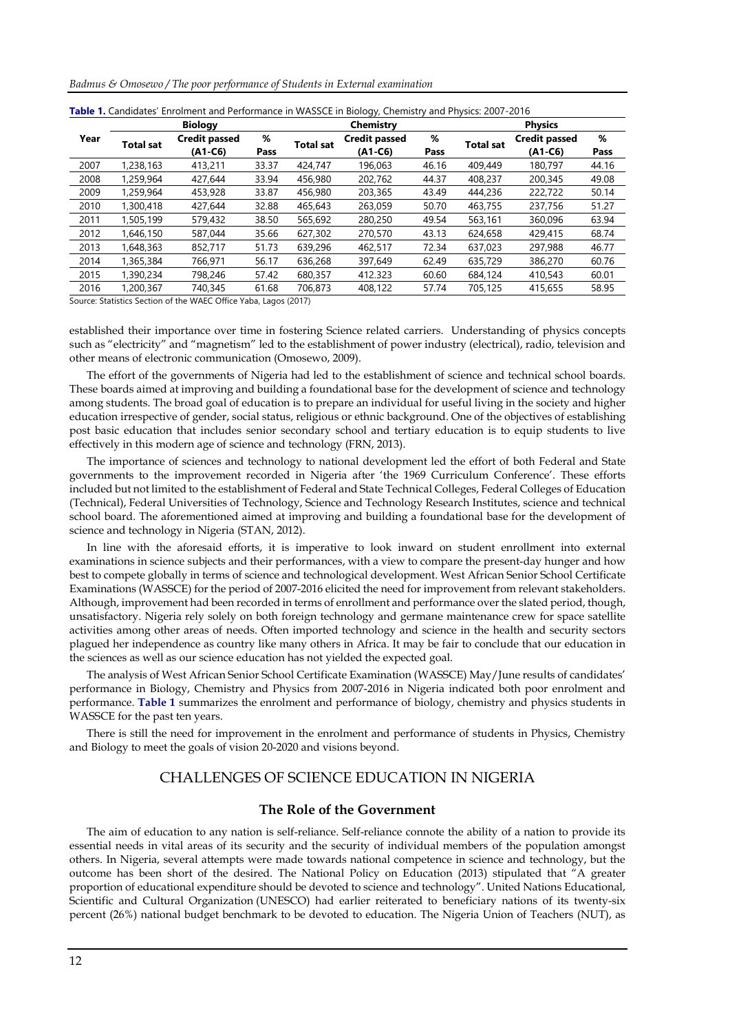| Badmus & Omosewo / The poor performance of Students in External examination |  |  |  |
|-----------------------------------------------------------------------------|--|--|--|
|-----------------------------------------------------------------------------|--|--|--|

|      |                  | <b>Biology</b>                    |           |                  | Chemistry                         |           |                  | <b>Physics</b>                  |           |
|------|------------------|-----------------------------------|-----------|------------------|-----------------------------------|-----------|------------------|---------------------------------|-----------|
| Year | <b>Total sat</b> | <b>Credit passed</b><br>$(A1-C6)$ | %<br>Pass | <b>Total sat</b> | <b>Credit passed</b><br>$(A1-C6)$ | %<br>Pass | <b>Total sat</b> | <b>Credit passed</b><br>(A1-C6) | %<br>Pass |
|      |                  |                                   |           |                  |                                   |           |                  |                                 |           |
| 2007 | 1,238,163        | 413,211                           | 33.37     | 424,747          | 196.063                           | 46.16     | 409,449          | 180.797                         | 44.16     |
| 2008 | 1,259,964        | 427,644                           | 33.94     | 456,980          | 202,762                           | 44.37     | 408,237          | 200,345                         | 49.08     |
| 2009 | 1,259,964        | 453,928                           | 33.87     | 456,980          | 203,365                           | 43.49     | 444,236          | 222,722                         | 50.14     |
| 2010 | 1,300,418        | 427,644                           | 32.88     | 465,643          | 263.059                           | 50.70     | 463,755          | 237,756                         | 51.27     |
| 2011 | 1,505,199        | 579,432                           | 38.50     | 565,692          | 280,250                           | 49.54     | 563,161          | 360.096                         | 63.94     |
| 2012 | 1,646,150        | 587,044                           | 35.66     | 627,302          | 270,570                           | 43.13     | 624,658          | 429,415                         | 68.74     |
| 2013 | 1,648,363        | 852,717                           | 51.73     | 639,296          | 462,517                           | 72.34     | 637.023          | 297,988                         | 46.77     |
| 2014 | 1,365,384        | 766,971                           | 56.17     | 636,268          | 397.649                           | 62.49     | 635,729          | 386,270                         | 60.76     |
| 2015 | 1,390,234        | 798,246                           | 57.42     | 680.357          | 412.323                           | 60.60     | 684,124          | 410,543                         | 60.01     |
| 2016 | 1,200,367        | 740,345                           | 61.68     | 706.873          | 408.122                           | 57.74     | 705,125          | 415,655                         | 58.95     |

| Table 1. Candidates' Enrolment and Performance in WASSCE in Biology, Chemistry and Physics: 2007-2016 |  |  |  |
|-------------------------------------------------------------------------------------------------------|--|--|--|
|                                                                                                       |  |  |  |

Source: Statistics Section of the WAEC Office Yaba, Lagos (2017)

established their importance over time in fostering Science related carriers. Understanding of physics concepts such as "electricity" and "magnetism" led to the establishment of power industry (electrical), radio, television and other means of electronic communication (Omosewo, 2009).

The effort of the governments of Nigeria had led to the establishment of science and technical school boards. These boards aimed at improving and building a foundational base for the development of science and technology among students. The broad goal of education is to prepare an individual for useful living in the society and higher education irrespective of gender, social status, religious or ethnic background. One of the objectives of establishing post basic education that includes senior secondary school and tertiary education is to equip students to live effectively in this modern age of science and technology (FRN, 2013).

The importance of sciences and technology to national development led the effort of both Federal and State governments to the improvement recorded in Nigeria after 'the 1969 Curriculum Conference'. These efforts included but not limited to the establishment of Federal and State Technical Colleges, Federal Colleges of Education (Technical), Federal Universities of Technology, Science and Technology Research Institutes, science and technical school board. The aforementioned aimed at improving and building a foundational base for the development of science and technology in Nigeria (STAN, 2012).

In line with the aforesaid efforts, it is imperative to look inward on student enrollment into external examinations in science subjects and their performances, with a view to compare the present-day hunger and how best to compete globally in terms of science and technological development. West African Senior School Certificate Examinations (WASSCE) for the period of 2007-2016 elicited the need for improvement from relevant stakeholders. Although, improvement had been recorded in terms of enrollment and performance over the slated period, though, unsatisfactory. Nigeria rely solely on both foreign technology and germane maintenance crew for space satellite activities among other areas of needs. Often imported technology and science in the health and security sectors plagued her independence as country like many others in Africa. It may be fair to conclude that our education in the sciences as well as our science education has not yielded the expected goal.

The analysis of West African Senior School Certificate Examination (WASSCE) May/June results of candidates' performance in Biology, Chemistry and Physics from 2007-2016 in Nigeria indicated both poor enrolment and performance. **Table 1** summarizes the enrolment and performance of biology, chemistry and physics students in WASSCE for the past ten years.

There is still the need for improvement in the enrolment and performance of students in Physics, Chemistry and Biology to meet the goals of vision 20-2020 and visions beyond.

# CHALLENGES OF SCIENCE EDUCATION IN NIGERIA

#### **The Role of the Government**

The aim of education to any nation is self-reliance. Self-reliance connote the ability of a nation to provide its essential needs in vital areas of its security and the security of individual members of the population amongst others. In Nigeria, several attempts were made towards national competence in science and technology, but the outcome has been short of the desired. The National Policy on Education (2013) stipulated that "A greater proportion of educational expenditure should be devoted to science and technology". United Nations Educational, Scientific and Cultural Organization (UNESCO) had earlier reiterated to beneficiary nations of its twenty-six percent (26%) national budget benchmark to be devoted to education. The Nigeria Union of Teachers (NUT), as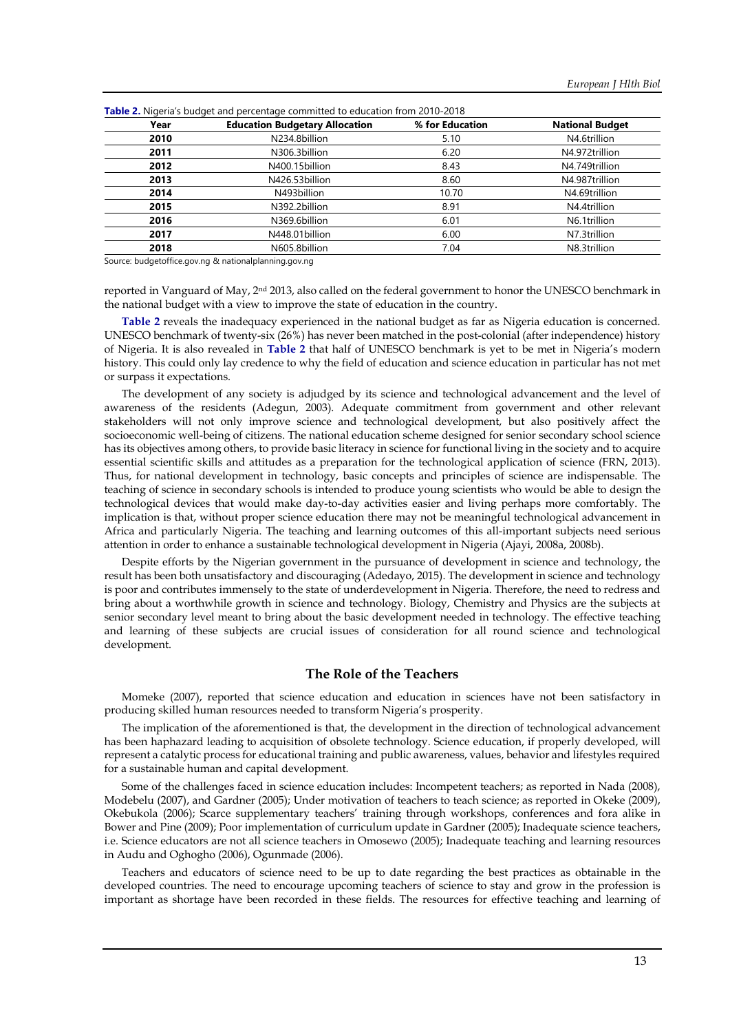| Year | <b>Education Budgetary Allocation</b> | % for Education | <b>National Budget</b> |
|------|---------------------------------------|-----------------|------------------------|
| 2010 | N234.8billion                         | 5.10            | N4.6trillion           |
| 2011 | N306.3billion                         | 6.20            | N4.972trillion         |
| 2012 | N400.15billion                        | 8.43            | N4.749trillion         |
| 2013 | N426.53billion                        | 8.60            | N4.987trillion         |
| 2014 | N493billion                           | 10.70           | N4.69trillion          |
| 2015 | N392.2billion                         | 8.91            | N4.4trillion           |
| 2016 | N369.6billion                         | 6.01            | N6.1trillion           |
| 2017 | N448.01billion                        | 6.00            | N7.3trillion           |
| 2018 | N605.8billion                         | 7.04            | N8.3trillion           |

**Table 2.** Nigeria's budget and percentage committed to education from 2010-2018

Source: budgetoffice.gov.ng & nationalplanning.gov.ng

reported in Vanguard of May, 2nd 2013, also called on the federal government to honor the UNESCO benchmark in the national budget with a view to improve the state of education in the country.

**Table 2** reveals the inadequacy experienced in the national budget as far as Nigeria education is concerned. UNESCO benchmark of twenty-six (26%) has never been matched in the post-colonial (after independence) history of Nigeria. It is also revealed in **Table 2** that half of UNESCO benchmark is yet to be met in Nigeria's modern history. This could only lay credence to why the field of education and science education in particular has not met or surpass it expectations.

The development of any society is adjudged by its science and technological advancement and the level of awareness of the residents (Adegun, 2003). Adequate commitment from government and other relevant stakeholders will not only improve science and technological development, but also positively affect the socioeconomic well-being of citizens. The national education scheme designed for senior secondary school science has its objectives among others, to provide basic literacy in science for functional living in the society and to acquire essential scientific skills and attitudes as a preparation for the technological application of science (FRN, 2013). Thus, for national development in technology, basic concepts and principles of science are indispensable. The teaching of science in secondary schools is intended to produce young scientists who would be able to design the technological devices that would make day-to-day activities easier and living perhaps more comfortably. The implication is that, without proper science education there may not be meaningful technological advancement in Africa and particularly Nigeria. The teaching and learning outcomes of this all-important subjects need serious attention in order to enhance a sustainable technological development in Nigeria (Ajayi, 2008a, 2008b).

Despite efforts by the Nigerian government in the pursuance of development in science and technology, the result has been both unsatisfactory and discouraging (Adedayo, 2015). The development in science and technology is poor and contributes immensely to the state of underdevelopment in Nigeria. Therefore, the need to redress and bring about a worthwhile growth in science and technology. Biology, Chemistry and Physics are the subjects at senior secondary level meant to bring about the basic development needed in technology. The effective teaching and learning of these subjects are crucial issues of consideration for all round science and technological development.

### **The Role of the Teachers**

Momeke (2007), reported that science education and education in sciences have not been satisfactory in producing skilled human resources needed to transform Nigeria's prosperity.

The implication of the aforementioned is that, the development in the direction of technological advancement has been haphazard leading to acquisition of obsolete technology. Science education, if properly developed, will represent a catalytic process for educational training and public awareness, values, behavior and lifestyles required for a sustainable human and capital development.

Some of the challenges faced in science education includes: Incompetent teachers; as reported in Nada (2008), Modebelu (2007), and Gardner (2005); Under motivation of teachers to teach science; as reported in Okeke (2009), Okebukola (2006); Scarce supplementary teachers' training through workshops, conferences and fora alike in Bower and Pine (2009); Poor implementation of curriculum update in Gardner (2005); Inadequate science teachers, i.e. Science educators are not all science teachers in Omosewo (2005); Inadequate teaching and learning resources in Audu and Oghogho (2006), Ogunmade (2006).

Teachers and educators of science need to be up to date regarding the best practices as obtainable in the developed countries. The need to encourage upcoming teachers of science to stay and grow in the profession is important as shortage have been recorded in these fields. The resources for effective teaching and learning of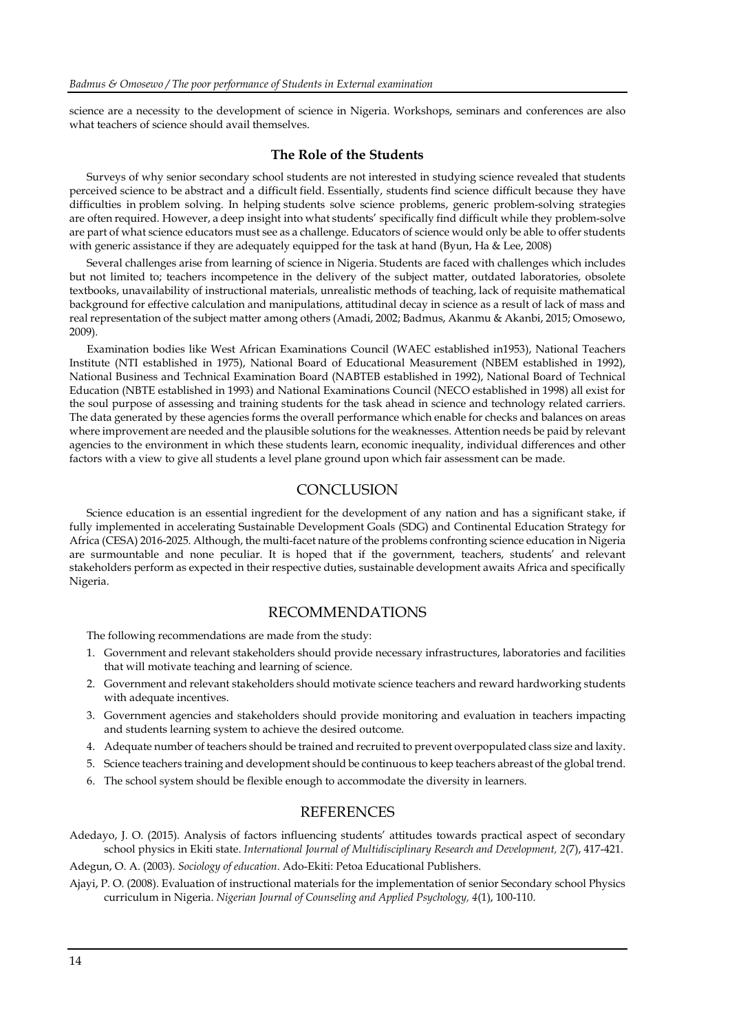science are a necessity to the development of science in Nigeria. Workshops, seminars and conferences are also what teachers of science should avail themselves.

# **The Role of the Students**

Surveys of why senior secondary school students are not interested in studying science revealed that students perceived science to be abstract and a difficult field. Essentially, students find science difficult because they have difficulties in problem solving. In helping students solve science problems, generic problem-solving strategies are often required. However, a deep insight into what students' specifically find difficult while they problem-solve are part of what science educators must see as a challenge. Educators of science would only be able to offer students with generic assistance if they are adequately equipped for the task at hand (Byun, Ha & Lee, 2008)

Several challenges arise from learning of science in Nigeria. Students are faced with challenges which includes but not limited to; teachers incompetence in the delivery of the subject matter, outdated laboratories, obsolete textbooks, unavailability of instructional materials, unrealistic methods of teaching, lack of requisite mathematical background for effective calculation and manipulations, attitudinal decay in science as a result of lack of mass and real representation of the subject matter among others (Amadi, 2002; Badmus, Akanmu & Akanbi, 2015; Omosewo, 2009).

Examination bodies like West African Examinations Council (WAEC established in1953), National Teachers Institute (NTI established in 1975), National Board of Educational Measurement (NBEM established in 1992), National Business and Technical Examination Board (NABTEB established in 1992), National Board of Technical Education (NBTE established in 1993) and National Examinations Council (NECO established in 1998) all exist for the soul purpose of assessing and training students for the task ahead in science and technology related carriers. The data generated by these agencies forms the overall performance which enable for checks and balances on areas where improvement are needed and the plausible solutions for the weaknesses. Attention needs be paid by relevant agencies to the environment in which these students learn, economic inequality, individual differences and other factors with a view to give all students a level plane ground upon which fair assessment can be made.

# **CONCLUSION**

Science education is an essential ingredient for the development of any nation and has a significant stake, if fully implemented in accelerating Sustainable Development Goals (SDG) and Continental Education Strategy for Africa (CESA) 2016-2025. Although, the multi-facet nature of the problems confronting science education in Nigeria are surmountable and none peculiar. It is hoped that if the government, teachers, students' and relevant stakeholders perform as expected in their respective duties, sustainable development awaits Africa and specifically Nigeria.

### RECOMMENDATIONS

The following recommendations are made from the study:

- 1. Government and relevant stakeholders should provide necessary infrastructures, laboratories and facilities that will motivate teaching and learning of science.
- 2. Government and relevant stakeholders should motivate science teachers and reward hardworking students with adequate incentives.
- 3. Government agencies and stakeholders should provide monitoring and evaluation in teachers impacting and students learning system to achieve the desired outcome.
- 4. Adequate number of teachers should be trained and recruited to prevent overpopulated class size and laxity.
- 5. Science teachers training and development should be continuous to keep teachers abreast of the global trend.
- 6. The school system should be flexible enough to accommodate the diversity in learners.

### REFERENCES

Adedayo, J. O. (2015). Analysis of factors influencing students' attitudes towards practical aspect of secondary school physics in Ekiti state. *International Journal of Multidisciplinary Research and Development, 2*(7), 417-421.

Adegun, O. A. (2003). *Sociology of education*. Ado-Ekiti: Petoa Educational Publishers.

Ajayi, P. O. (2008). Evaluation of instructional materials for the implementation of senior Secondary school Physics curriculum in Nigeria. *Nigerian Journal of Counseling and Applied Psychology, 4*(1), 100-110.